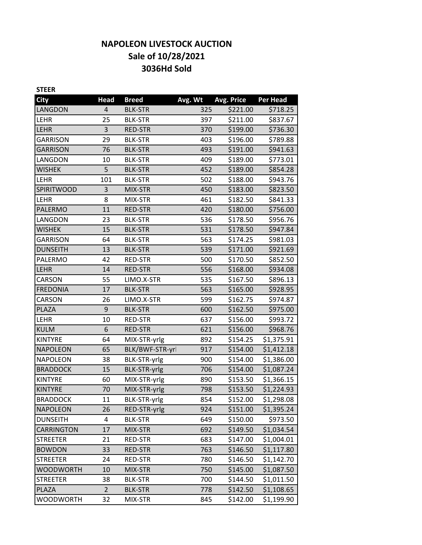# **NAPOLEON LIVESTOCK AUCTION Sale of 10/28/2021 3036Hd Sold**

| <b>STEER</b>      |                |                     |         |            |                 |
|-------------------|----------------|---------------------|---------|------------|-----------------|
| <b>City</b>       | <b>Head</b>    | <b>Breed</b>        | Avg. Wt | Avg. Price | <b>Per Head</b> |
| LANGDON           | 4              | <b>BLK-STR</b>      | 325     | \$221.00   | \$718.25        |
| LEHR              | 25             | <b>BLK-STR</b>      | 397     | \$211.00   | \$837.67        |
| LEHR              | 3              | <b>RED-STR</b>      | 370     | \$199.00   | \$736.30        |
| <b>GARRISON</b>   | 29             | <b>BLK-STR</b>      | 403     | \$196.00   | \$789.88        |
| <b>GARRISON</b>   | 76             | <b>BLK-STR</b>      | 493     | \$191.00   | \$941.63        |
| LANGDON           | 10             | <b>BLK-STR</b>      | 409     | \$189.00   | \$773.01        |
| <b>WISHEK</b>     | 5              | <b>BLK-STR</b>      | 452     | \$189.00   | \$854.28        |
| <b>LEHR</b>       | 101            | <b>BLK-STR</b>      | 502     | \$188.00   | \$943.76        |
| <b>SPIRITWOOD</b> | 3              | MIX-STR             | 450     | \$183.00   | \$823.50        |
| LEHR              | 8              | MIX-STR             | 461     | \$182.50   | \$841.33        |
| PALERMO           | 11             | RED-STR             | 420     | \$180.00   | \$756.00        |
| LANGDON           | 23             | <b>BLK-STR</b>      | 536     | \$178.50   | \$956.76        |
| <b>WISHEK</b>     | 15             | <b>BLK-STR</b>      | 531     | \$178.50   | \$947.84        |
| <b>GARRISON</b>   | 64             | <b>BLK-STR</b>      | 563     | \$174.25   | \$981.03        |
| <b>DUNSEITH</b>   | 13             | <b>BLK-STR</b>      | 539     | \$171.00   | \$921.69        |
| PALERMO           | 42             | RED-STR             | 500     | \$170.50   | \$852.50        |
| LEHR              | 14             | <b>RED-STR</b>      | 556     | \$168.00   | \$934.08        |
| CARSON            | 55             | LIMO.X-STR          | 535     | \$167.50   | \$896.13        |
| <b>FREDONIA</b>   | 17             | <b>BLK-STR</b>      | 563     | \$165.00   | \$928.95        |
| CARSON            | 26             | LIMO.X-STR          | 599     | \$162.75   | \$974.87        |
| PLAZA             | 9              | <b>BLK-STR</b>      | 600     | \$162.50   | \$975.00        |
| LEHR              | 10             | RED-STR             | 637     | \$156.00   | \$993.72        |
| <b>KULM</b>       | 6              | <b>RED-STR</b>      | 621     | \$156.00   | \$968.76        |
| <b>KINTYRE</b>    | 64             | MIX-STR-yrlg        | 892     | \$154.25   | \$1,375.91      |
| <b>NAPOLEON</b>   | 65             | BLK/BWF-STR-yrl     | 917     | \$154.00   | \$1,412.18      |
| <b>NAPOLEON</b>   | 38             | <b>BLK-STR-yrlg</b> | 900     | \$154.00   | \$1,386.00      |
| <b>BRADDOCK</b>   | 15             | <b>BLK-STR-yrlg</b> | 706     | \$154.00   | \$1,087.24      |
| <b>KINTYRE</b>    | 60             | MIX-STR-yrlg        | 890     | \$153.50   | \$1,366.15      |
| <b>KINTYRE</b>    | 70             | MIX-STR-yrlg        | 798     | \$153.50   | \$1,224.93      |
| <b>BRADDOCK</b>   | 11             | BLK-STR-yrlg        | 854     | \$152.00   | \$1,298.08      |
| <b>NAPOLEON</b>   | 26             | RED-STR-yrlg        | 924     | \$151.00   | \$1,395.24      |
| <b>DUNSEITH</b>   | 4              | <b>BLK-STR</b>      | 649     | \$150.00   | \$973.50        |
| CARRINGTON        | 17             | MIX-STR             | 692     | \$149.50   | \$1,034.54      |
| <b>STREETER</b>   | 21             | RED-STR             | 683     | \$147.00   | \$1,004.01      |
| <b>BOWDON</b>     | 33             | <b>RED-STR</b>      | 763     | \$146.50   | \$1,117.80      |
| <b>STREETER</b>   | 24             | RED-STR             | 780     | \$146.50   | \$1,142.70      |
| <b>WOODWORTH</b>  | 10             | MIX-STR             | 750     | \$145.00   | \$1,087.50      |
| <b>STREETER</b>   | 38             | <b>BLK-STR</b>      | 700     | \$144.50   | \$1,011.50      |
| <b>PLAZA</b>      | $\overline{2}$ | <b>BLK-STR</b>      | 778     | \$142.50   | \$1,108.65      |
| <b>WOODWORTH</b>  | 32             | MIX-STR             | 845     | \$142.00   | \$1,199.90      |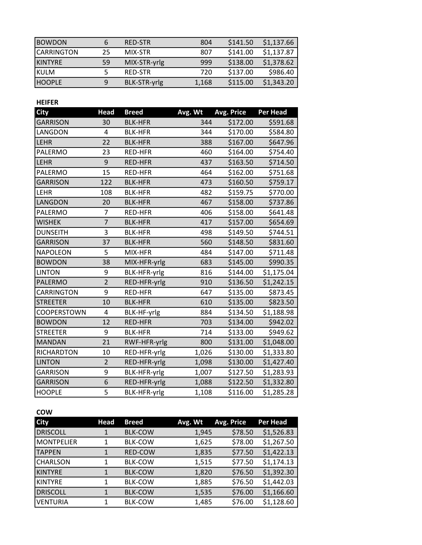| <b>BOWDON</b>  | 6  | <b>RED-STR</b> | 804   | \$141.50 | \$1,137.66 |
|----------------|----|----------------|-------|----------|------------|
| ICARRINGTON    | 25 | MIX-STR        | 807   | \$141.00 | \$1,137.87 |
| <b>KINTYRE</b> | 59 | MIX-STR-yrlg   | 999   | \$138.00 | \$1,378.62 |
| <b>KULM</b>    |    | RED-STR        | 720   | \$137.00 | \$986.40   |
| <b>HOOPLE</b>  | 9  | BLK-STR-yrlg   | 1,168 | \$115.00 | \$1,343.20 |

**HEIFER** 

| <b>City</b>     | <b>Head</b>    | <b>Breed</b>   | Avg. Wt | Avg. Price | <b>Per Head</b> |
|-----------------|----------------|----------------|---------|------------|-----------------|
| <b>GARRISON</b> | 30             | <b>BLK-HFR</b> | 344     | \$172.00   | \$591.68        |
| LANGDON         | 4              | <b>BLK-HFR</b> | 344     | \$170.00   | \$584.80        |
| <b>LEHR</b>     | 22             | <b>BLK-HFR</b> | 388     | \$167.00   | \$647.96        |
| PALERMO         | 23             | RED-HFR        | 460     | \$164.00   | \$754.40        |
| <b>LEHR</b>     | 9              | <b>RED-HFR</b> | 437     | \$163.50   | \$714.50        |
| PALERMO         | 15             | RED-HFR        | 464     | \$162.00   | \$751.68        |
| <b>GARRISON</b> | 122            | <b>BLK-HFR</b> | 473     | \$160.50   | \$759.17        |
| LEHR            | 108            | <b>BLK-HFR</b> | 482     | \$159.75   | \$770.00        |
| LANGDON         | 20             | <b>BLK-HFR</b> | 467     | \$158.00   | \$737.86        |
| PALERMO         | 7              | RED-HFR        | 406     | \$158.00   | \$641.48        |
| <b>WISHEK</b>   | $\overline{7}$ | <b>BLK-HFR</b> | 417     | \$157.00   | \$654.69        |
| <b>DUNSEITH</b> | 3              | <b>BLK-HFR</b> | 498     | \$149.50   | \$744.51        |
| <b>GARRISON</b> | 37             | <b>BLK-HFR</b> | 560     | \$148.50   | \$831.60        |
| <b>NAPOLEON</b> | 5              | MIX-HFR        | 484     | \$147.00   | \$711.48        |
| <b>BOWDON</b>   | 38             | MIX-HFR-yrlg   | 683     | \$145.00   | \$990.35        |
| <b>LINTON</b>   | 9              | BLK-HFR-yrlg   | 816     | \$144.00   | \$1,175.04      |
| PALERMO         | $\overline{2}$ | RED-HFR-yrlg   | 910     | \$136.50   | \$1,242.15      |
| CARRINGTON      | 9              | RED-HFR        | 647     | \$135.00   | \$873.45        |
| <b>STREETER</b> | 10             | <b>BLK-HFR</b> | 610     | \$135.00   | \$823.50        |
| COOPERSTOWN     | 4              | BLK-HF-yrlg    | 884     | \$134.50   | \$1,188.98      |
| <b>BOWDON</b>   | 12             | RED-HFR        | 703     | \$134.00   | \$942.02        |
| <b>STREETER</b> | 9              | <b>BLK-HFR</b> | 714     | \$133.00   | \$949.62        |
| <b>MANDAN</b>   | 21             | RWF-HFR-yrlg   | 800     | \$131.00   | \$1,048.00      |
| RICHARDTON      | 10             | RED-HFR-yrlg   | 1,026   | \$130.00   | \$1,333.80      |
| <b>LINTON</b>   | $\overline{2}$ | RED-HFR-yrlg   | 1,098   | \$130.00   | \$1,427.40      |
| <b>GARRISON</b> | 9              | BLK-HFR-yrlg   | 1,007   | \$127.50   | \$1,283.93      |
| GARRISON        | 6              | RED-HFR-yrlg   | 1,088   | \$122.50   | \$1,332.80      |
| <b>HOOPLE</b>   | 5              | BLK-HFR-yrlg   | 1,108   | \$116.00   | \$1,285.28      |

### **COW**

| <b>City</b>     | <b>Head</b> | <b>Breed</b>   | Avg. Wt | Avg. Price | <b>Per Head</b> |
|-----------------|-------------|----------------|---------|------------|-----------------|
| <b>DRISCOLL</b> | 1           | <b>BLK-COW</b> | 1,945   | \$78.50    | \$1,526.83      |
| MONTPELIER      | 1           | <b>BLK-COW</b> | 1,625   | \$78.00    | \$1,267.50      |
| <b>TAPPEN</b>   | 1           | <b>RED-COW</b> | 1,835   | \$77.50    | \$1,422.13      |
| <b>CHARLSON</b> | 1           | <b>BLK-COW</b> | 1,515   | \$77.50    | \$1,174.13      |
| <b>KINTYRE</b>  | 1           | <b>BLK-COW</b> | 1,820   | \$76.50    | \$1,392.30      |
| <b>KINTYRE</b>  |             | <b>BLK-COW</b> | 1,885   | \$76.50    | \$1,442.03      |
| <b>DRISCOLL</b> |             | <b>BLK-COW</b> | 1,535   | \$76.00    | \$1,166.60      |
| <b>VENTURIA</b> | 1           | <b>BLK-COW</b> | 1,485   | \$76.00    | \$1,128.60      |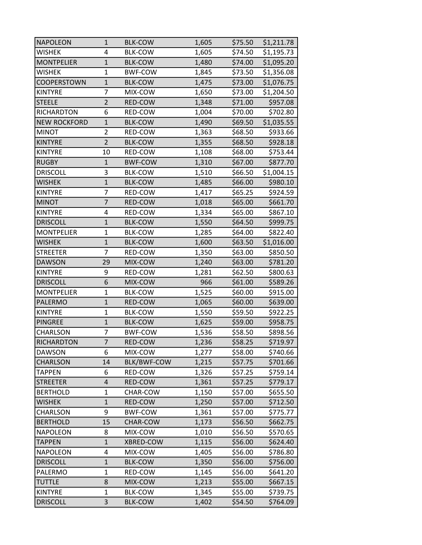| <b>NAPOLEON</b>     | $\mathbf{1}$   | <b>BLK-COW</b>     | 1,605 | \$75.50 | \$1,211.78 |
|---------------------|----------------|--------------------|-------|---------|------------|
| <b>WISHEK</b>       | 4              | <b>BLK-COW</b>     | 1,605 | \$74.50 | \$1,195.73 |
| <b>MONTPELIER</b>   | $\mathbf{1}$   | <b>BLK-COW</b>     | 1,480 | \$74.00 | \$1,095.20 |
| WISHEK              | $\mathbf{1}$   | <b>BWF-COW</b>     | 1,845 | \$73.50 | \$1,356.08 |
| <b>COOPERSTOWN</b>  | $\mathbf 1$    | <b>BLK-COW</b>     | 1,475 | \$73.00 | \$1,076.75 |
| <b>KINTYRE</b>      | 7              | MIX-COW            | 1,650 | \$73.00 | \$1,204.50 |
| <b>STEELE</b>       | $\overline{2}$ | RED-COW            | 1,348 | \$71.00 | \$957.08   |
| RICHARDTON          | 6              | RED-COW            | 1,004 | \$70.00 | \$702.80   |
| <b>NEW ROCKFORD</b> | $\mathbf{1}$   | <b>BLK-COW</b>     | 1,490 | \$69.50 | \$1,035.55 |
| <b>MINOT</b>        | $\overline{2}$ | RED-COW            | 1,363 | \$68.50 | \$933.66   |
| <b>KINTYRE</b>      | $\overline{2}$ | <b>BLK-COW</b>     | 1,355 | \$68.50 | \$928.18   |
| <b>KINTYRE</b>      | 10             | RED-COW            | 1,108 | \$68.00 | \$753.44   |
| <b>RUGBY</b>        | $\mathbf{1}$   | <b>BWF-COW</b>     | 1,310 | \$67.00 | \$877.70   |
| <b>DRISCOLL</b>     | 3              | <b>BLK-COW</b>     | 1,510 | \$66.50 | \$1,004.15 |
| <b>WISHEK</b>       | $\mathbf 1$    | <b>BLK-COW</b>     | 1,485 | \$66.00 | \$980.10   |
| <b>KINTYRE</b>      | 7              | RED-COW            | 1,417 | \$65.25 | \$924.59   |
| <b>MINOT</b>        | $\overline{7}$ | RED-COW            | 1,018 | \$65.00 | \$661.70   |
| <b>KINTYRE</b>      | 4              | RED-COW            | 1,334 | \$65.00 | \$867.10   |
| <b>DRISCOLL</b>     | $\mathbf{1}$   | <b>BLK-COW</b>     | 1,550 | \$64.50 | \$999.75   |
| <b>MONTPELIER</b>   | $\mathbf{1}$   | <b>BLK-COW</b>     | 1,285 | \$64.00 | \$822.40   |
| <b>WISHEK</b>       | $\mathbf{1}$   | <b>BLK-COW</b>     | 1,600 | \$63.50 | \$1,016.00 |
| <b>STREETER</b>     | 7              | RED-COW            | 1,350 | \$63.00 | \$850.50   |
| <b>DAWSON</b>       | 29             | MIX-COW            | 1,240 | \$63.00 | \$781.20   |
| <b>KINTYRE</b>      | 9              | RED-COW            | 1,281 | \$62.50 | \$800.63   |
| <b>DRISCOLL</b>     | 6              | MIX-COW            | 966   | \$61.00 | \$589.26   |
| <b>MONTPELIER</b>   | $\mathbf{1}$   | <b>BLK-COW</b>     | 1,525 | \$60.00 | \$915.00   |
| PALERMO             | $\mathbf 1$    | RED-COW            | 1,065 | \$60.00 | \$639.00   |
| <b>KINTYRE</b>      | $\mathbf{1}$   | <b>BLK-COW</b>     | 1,550 | \$59.50 | \$922.25   |
| <b>PINGREE</b>      | $\mathbf 1$    | <b>BLK-COW</b>     | 1,625 | \$59.00 | \$958.75   |
| CHARLSON            | 7              | <b>BWF-COW</b>     | 1,536 | \$58.50 | \$898.56   |
| <b>RICHARDTON</b>   | $\overline{7}$ | RED-COW            | 1,236 | \$58.25 | \$719.97   |
| <b>DAWSON</b>       | 6              | MIX-COW            | 1,277 | \$58.00 | \$740.66   |
| CHARLSON            | 14             | <b>BLK/BWF-COW</b> | 1,215 | \$57.75 | \$701.66   |
| <b>TAPPEN</b>       | 6              | RED-COW            | 1,326 | \$57.25 | \$759.14   |
| <b>STREETER</b>     | $\sqrt{4}$     | RED-COW            | 1,361 | \$57.25 | \$779.17   |
| <b>BERTHOLD</b>     | $\mathbf{1}$   | CHAR-COW           | 1,150 | \$57.00 | \$655.50   |
| <b>WISHEK</b>       | $\mathbf{1}$   | RED-COW            | 1,250 | \$57.00 | \$712.50   |
| CHARLSON            | 9              | <b>BWF-COW</b>     | 1,361 | \$57.00 | \$775.77   |
| <b>BERTHOLD</b>     | 15             | CHAR-COW           | 1,173 | \$56.50 | \$662.75   |
| <b>NAPOLEON</b>     | 8              | MIX-COW            | 1,010 | \$56.50 | \$570.65   |
| <b>TAPPEN</b>       | $\mathbf{1}$   | XBRED-COW          | 1,115 | \$56.00 | \$624.40   |
| <b>NAPOLEON</b>     | 4              | MIX-COW            | 1,405 | \$56.00 | \$786.80   |
| <b>DRISCOLL</b>     | $\mathbf{1}$   | <b>BLK-COW</b>     | 1,350 | \$56.00 | \$756.00   |
| PALERMO             | $\mathbf{1}$   | RED-COW            | 1,145 | \$56.00 | \$641.20   |
| <b>TUTTLE</b>       | 8              | MIX-COW            | 1,213 | \$55.00 | \$667.15   |
| <b>KINTYRE</b>      | $\mathbf{1}$   | <b>BLK-COW</b>     | 1,345 | \$55.00 | \$739.75   |
| <b>DRISCOLL</b>     | 3              | <b>BLK-COW</b>     | 1,402 | \$54.50 | \$764.09   |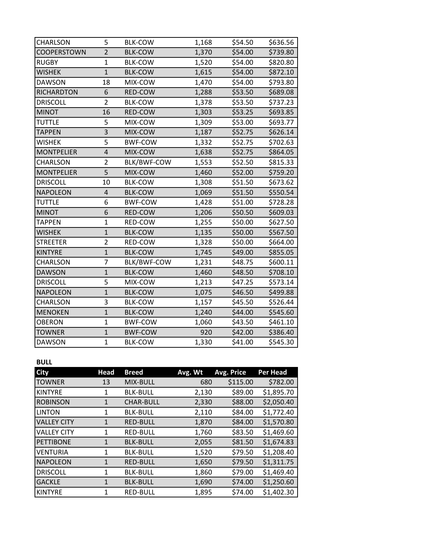| CHARLSON           | 5                       | <b>BLK-COW</b> |       | \$54.50 | \$636.56 |
|--------------------|-------------------------|----------------|-------|---------|----------|
|                    |                         |                | 1,168 |         |          |
| <b>COOPERSTOWN</b> | $\overline{2}$          | <b>BLK-COW</b> | 1,370 | \$54.00 | \$739.80 |
| <b>RUGBY</b>       | $\mathbf{1}$            | <b>BLK-COW</b> | 1,520 | \$54.00 | \$820.80 |
| <b>WISHEK</b>      | $\mathbf{1}$            | <b>BLK-COW</b> | 1,615 | \$54.00 | \$872.10 |
| <b>DAWSON</b>      | 18                      | MIX-COW        | 1,470 | \$54.00 | \$793.80 |
| <b>RICHARDTON</b>  | 6                       | RED-COW        | 1,288 | \$53.50 | \$689.08 |
| <b>DRISCOLL</b>    | $\overline{2}$          | <b>BLK-COW</b> | 1,378 | \$53.50 | \$737.23 |
| <b>MINOT</b>       | 16                      | RED-COW        | 1,303 | \$53.25 | \$693.85 |
| <b>TUTTLE</b>      | 5                       | MIX-COW        | 1,309 | \$53.00 | \$693.77 |
| <b>TAPPEN</b>      | 3                       | MIX-COW        | 1,187 | \$52.75 | \$626.14 |
| <b>WISHEK</b>      | 5                       | <b>BWF-COW</b> | 1,332 | \$52.75 | \$702.63 |
| <b>MONTPELIER</b>  | $\overline{\mathbf{r}}$ | MIX-COW        | 1,638 | \$52.75 | \$864.05 |
| CHARLSON           | $\overline{2}$          | BLK/BWF-COW    | 1,553 | \$52.50 | \$815.33 |
| <b>MONTPELIER</b>  | 5                       | MIX-COW        | 1,460 | \$52.00 | \$759.20 |
| <b>DRISCOLL</b>    | 10                      | <b>BLK-COW</b> | 1,308 | \$51.50 | \$673.62 |
| <b>NAPOLEON</b>    | $\overline{\mathbf{r}}$ | <b>BLK-COW</b> | 1,069 | \$51.50 | \$550.54 |
| <b>TUTTLE</b>      | 6                       | <b>BWF-COW</b> | 1,428 | \$51.00 | \$728.28 |
| <b>MINOT</b>       | 6                       | RED-COW        | 1,206 | \$50.50 | \$609.03 |
| <b>TAPPEN</b>      | $\mathbf{1}$            | RED-COW        | 1,255 | \$50.00 | \$627.50 |
| <b>WISHEK</b>      | $\mathbf 1$             | <b>BLK-COW</b> | 1,135 | \$50.00 | \$567.50 |
| <b>STREETER</b>    | $\overline{2}$          | RED-COW        | 1,328 | \$50.00 | \$664.00 |
| <b>KINTYRE</b>     | $\mathbf{1}$            | <b>BLK-COW</b> | 1,745 | \$49.00 | \$855.05 |
| <b>CHARLSON</b>    | 7                       | BLK/BWF-COW    | 1,231 | \$48.75 | \$600.11 |
| <b>DAWSON</b>      | $\mathbf{1}$            | <b>BLK-COW</b> | 1,460 | \$48.50 | \$708.10 |
| <b>DRISCOLL</b>    | 5                       | MIX-COW        | 1,213 | \$47.25 | \$573.14 |
| <b>NAPOLEON</b>    | $\mathbf{1}$            | <b>BLK-COW</b> | 1,075 | \$46.50 | \$499.88 |
| CHARLSON           | 3                       | <b>BLK-COW</b> | 1,157 | \$45.50 | \$526.44 |
| <b>MENOKEN</b>     | $\mathbf 1$             | <b>BLK-COW</b> | 1,240 | \$44.00 | \$545.60 |
| <b>OBERON</b>      | $\mathbf{1}$            | <b>BWF-COW</b> | 1,060 | \$43.50 | \$461.10 |
| <b>TOWNER</b>      | $\mathbf{1}$            | <b>BWF-COW</b> | 920   | \$42.00 | \$386.40 |
| <b>DAWSON</b>      | $\mathbf{1}$            | <b>BLK-COW</b> | 1,330 | \$41.00 | \$545.30 |

## **BULL**

| <b>City</b>        | <b>Head</b> | <b>Breed</b>     | Avg. Wt | Avg. Price | <b>Per Head</b> |
|--------------------|-------------|------------------|---------|------------|-----------------|
| <b>TOWNER</b>      | 13          | MIX-BULL         | 680     | \$115.00   | \$782.00        |
| <b>KINTYRE</b>     | 1           | <b>BLK-BULL</b>  | 2,130   | \$89.00    | \$1,895.70      |
| <b>ROBINSON</b>    | 1           | <b>CHAR-BULL</b> | 2,330   | \$88.00    | \$2,050.40      |
| <b>LINTON</b>      | 1           | <b>BLK-BULL</b>  | 2,110   | \$84.00    | \$1,772.40      |
| <b>VALLEY CITY</b> | 1           | <b>RED-BULL</b>  | 1,870   | \$84.00    | \$1,570.80      |
| <b>VALLEY CITY</b> | 1           | <b>RED-BULL</b>  | 1,760   | \$83.50    | \$1,469.60      |
| <b>PETTIBONE</b>   | 1           | <b>BLK-BULL</b>  | 2,055   | \$81.50    | \$1,674.83      |
| <b>VENTURIA</b>    | 1           | <b>BLK-BULL</b>  | 1,520   | \$79.50    | \$1,208.40      |
| <b>NAPOLEON</b>    | 1           | <b>RED-BULL</b>  | 1,650   | \$79.50    | \$1,311.75      |
| <b>DRISCOLL</b>    | 1           | <b>BLK-BULL</b>  | 1,860   | \$79.00    | \$1,469.40      |
| <b>GACKLE</b>      | 1           | <b>BLK-BULL</b>  | 1,690   | \$74.00    | \$1,250.60      |
| <b>KINTYRE</b>     | 1           | <b>RED-BULL</b>  | 1,895   | \$74.00    | \$1,402.30      |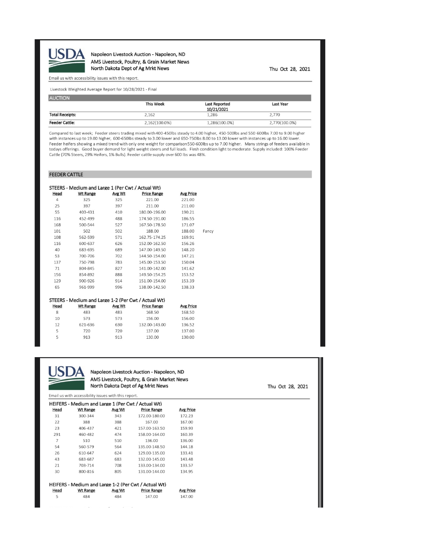

Napoleon Livestock Auction - Napoleon, ND AMS Livestock, Poultry, & Grain Market News North Dakota Dept of Ag Mrkt News

Thu Oct 28, 2021

#### Email us with accessibility issues with this report.

Livestock Weighted Average Report for 10/28/2021 - Final

| <b>AUCTION</b>         |                  |                      |               |
|------------------------|------------------|----------------------|---------------|
|                        | <b>This Week</b> | <b>Last Reported</b> | Last Year     |
|                        |                  | 10/21/2021           |               |
| <b>Total Receipts:</b> | 2.162            | 1,286                | 2,770         |
| <b>Feeder Cattle:</b>  | 2.162(100.0%)    | 1,286(100.0%)        | 2,770(100.0%) |

Compared to last week; Feeder steers trading mixed with 400-450lbs steady to 4.00 higher, 450-500lbs and 550 600lbs 7.00 to 9.00 higher with instances up to 19.00 higher, 600-650lbs steady to 3.00 lower and 650-750lbs 8.00 to 13.00 lower with instances up to 16.00 lower. Feeder heifers showing a mixed trend with only one weight for comparison 550-600lbs up to 7.00 higher. Many strings of feeders available in todays offerings. Good buyer demand for light weight steers and full loads. Flesh condition light to moderate. Supply included: 100% Feeder Cattle (70% Steers, 29% Heifers, 1% Bulls). Feeder cattle supply over 600 lbs was 48%.

### FEEDER CATTLE

|                | STEERS - Medium and Large 1 (Per Cwt / Actual Wt)   |        |                    |                  |       |
|----------------|-----------------------------------------------------|--------|--------------------|------------------|-------|
| Head           | <b>Wt Range</b>                                     | Avg Wt | <b>Price Range</b> | <b>Avg Price</b> |       |
| $\overline{4}$ | 325                                                 | 325    | 221.00             | 221.00           |       |
| 25             | 397                                                 | 397    | 211.00             | 211.00           |       |
| 55             | 403-431                                             | 410    | 180.00-196.00      | 190.21           |       |
| 116            | 452-499                                             | 488    | 174.50-191.00      | 186.55           |       |
| 168            | 500-544                                             | 527    | 167.50-178.50      | 171.07           |       |
| 101            | 502                                                 | 502    | 188.00             | 188.00           | Fancy |
| 108            | 562-599                                             | 571    | 162.75-174.25      | 169.91           |       |
| 116            | 600-637                                             | 626    | 152.00-162.50      | 156.26           |       |
| 40             | 683-695                                             | 689    | 147.00-149.50      | 148.20           |       |
| 53             | 700-706                                             | 702    | 144.50-154.00      | 147.21           |       |
| 137            | 750-798                                             | 783    | 145.00-153.50      | 150.04           |       |
| 71             | 804-845                                             | 827    | 141.00-142.00      | 141.62           |       |
| 156            | 854-892                                             | 888    | 149.50-154.25      | 153.52           |       |
| 129            | 900-926                                             | 914    | 151.00-154.00      | 153.39           |       |
| 65             | 961-999                                             | 996    | 138.00-142.50      | 138.33           |       |
|                |                                                     |        |                    |                  |       |
|                | STEERS - Medium and Large 1-2 (Per Cwt / Actual Wt) |        |                    |                  |       |
| Head           | <b>Wt Range</b>                                     | Avg Wt | <b>Price Range</b> | <b>Avg Price</b> |       |
| 8              | 483                                                 | 483    | 168.50             | 168.50           |       |
| 10             | 573                                                 | 573    | 156.00             | 156.00           |       |
| 12             | 621-636                                             | 630    | 132.00-143.00      | 136.52           |       |
| 5              | 720                                                 | 720    | 137.00             | 137.00           |       |
| 5              | 913                                                 | 913    | 130.00             | 130.00           |       |



5

#### Napoleon Livestock Auction - Napoleon, ND AMS Livestock, Poultry, & Grain Market News North Dakota Dept of Ag Mrkt News

147.00

147.00

Email us with accessibility issues with this report.

|      | HEIFERS - Medium and Large 1 (Per Cwt / Actual Wt)   |        |                    |                  |
|------|------------------------------------------------------|--------|--------------------|------------------|
| Head | Wt Range                                             | Avg Wt | <b>Price Range</b> | <b>Avg Price</b> |
| 31   | 300-344                                              | 343    | 172.00-180.00      | 172.23           |
| 22   | 388                                                  | 388    | 167.00             | 167.00           |
| 23   | 406-437                                              | 421    | 157.00-163.50      | 159.93           |
| 291  | 460-482                                              | 474    | 158.00-164.00      | 160.39           |
| 7    | 510                                                  | 510    | 136.00             | 136.00           |
| 54   | 560-579                                              | 564    | 135.00-148.50      | 144.18           |
| 26   | 610-647                                              | 624    | 129.00-135.00      | 133.41           |
| 43   | 683-687                                              | 683    | 132.00-145.00      | 143.48           |
| 21   | 703-714                                              | 708    | 133.00-134.00      | 133.57           |
| 30   | 800-816                                              | 805    | 131.00-144.00      | 134.95           |
|      |                                                      |        |                    |                  |
|      | HEIFERS - Medium and Large 1-2 (Per Cwt / Actual Wt) |        |                    |                  |
| Head | <b>Wt Range</b>                                      | Avg Wt | <b>Price Range</b> | <b>Avg Price</b> |

484

Thu Oct 28, 2021

 $\sim$  $\cdots$  $\sim$   $\sim$ 

484